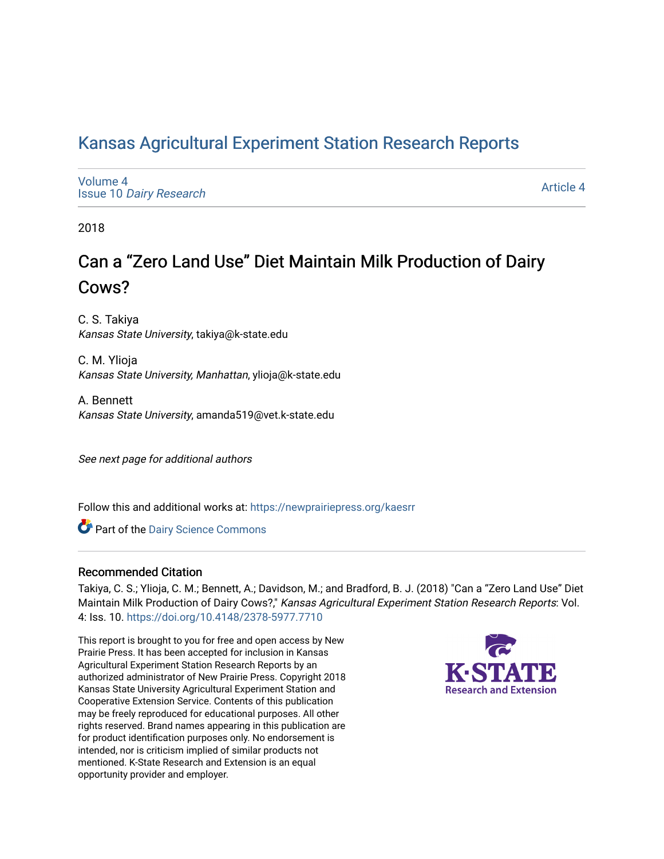# [Kansas Agricultural Experiment Station Research Reports](https://newprairiepress.org/kaesrr)

[Volume 4](https://newprairiepress.org/kaesrr/vol4) Issue 10 [Dairy Research](https://newprairiepress.org/kaesrr/vol4/iss10)

[Article 4](https://newprairiepress.org/kaesrr/vol4/iss10/4) 

2018

# Can a "Zero Land Use" Diet Maintain Milk Production of Dairy Cows?

C. S. Takiya Kansas State University, takiya@k-state.edu

C. M. Ylioja Kansas State University, Manhattan, ylioja@k-state.edu

A. Bennett Kansas State University, amanda519@vet.k-state.edu

See next page for additional authors

Follow this and additional works at: [https://newprairiepress.org/kaesrr](https://newprairiepress.org/kaesrr?utm_source=newprairiepress.org%2Fkaesrr%2Fvol4%2Fiss10%2F4&utm_medium=PDF&utm_campaign=PDFCoverPages) 

Part of the [Dairy Science Commons](http://network.bepress.com/hgg/discipline/79?utm_source=newprairiepress.org%2Fkaesrr%2Fvol4%2Fiss10%2F4&utm_medium=PDF&utm_campaign=PDFCoverPages) 

### Recommended Citation

Takiya, C. S.; Ylioja, C. M.; Bennett, A.; Davidson, M.; and Bradford, B. J. (2018) "Can a "Zero Land Use" Diet Maintain Milk Production of Dairy Cows?," Kansas Agricultural Experiment Station Research Reports: Vol. 4: Iss. 10. <https://doi.org/10.4148/2378-5977.7710>

This report is brought to you for free and open access by New Prairie Press. It has been accepted for inclusion in Kansas Agricultural Experiment Station Research Reports by an authorized administrator of New Prairie Press. Copyright 2018 Kansas State University Agricultural Experiment Station and Cooperative Extension Service. Contents of this publication may be freely reproduced for educational purposes. All other rights reserved. Brand names appearing in this publication are for product identification purposes only. No endorsement is intended, nor is criticism implied of similar products not mentioned. K-State Research and Extension is an equal opportunity provider and employer.

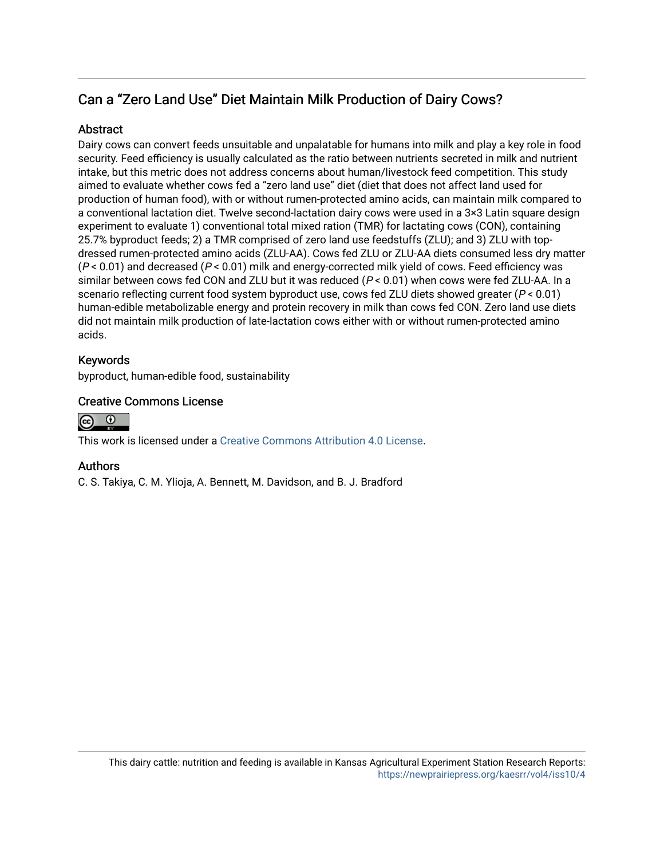## Can a "Zero Land Use" Diet Maintain Milk Production of Dairy Cows?

### **Abstract**

Dairy cows can convert feeds unsuitable and unpalatable for humans into milk and play a key role in food security. Feed efficiency is usually calculated as the ratio between nutrients secreted in milk and nutrient intake, but this metric does not address concerns about human/livestock feed competition. This study aimed to evaluate whether cows fed a "zero land use" diet (diet that does not affect land used for production of human food), with or without rumen-protected amino acids, can maintain milk compared to a conventional lactation diet. Twelve second-lactation dairy cows were used in a 3×3 Latin square design experiment to evaluate 1) conventional total mixed ration (TMR) for lactating cows (CON), containing 25.7% byproduct feeds; 2) a TMR comprised of zero land use feedstuffs (ZLU); and 3) ZLU with topdressed rumen-protected amino acids (ZLU-AA). Cows fed ZLU or ZLU-AA diets consumed less dry matter  $(P < 0.01)$  and decreased  $(P < 0.01)$  milk and energy-corrected milk yield of cows. Feed efficiency was similar between cows fed CON and ZLU but it was reduced ( $P < 0.01$ ) when cows were fed ZLU-AA. In a scenario reflecting current food system byproduct use, cows fed ZLU diets showed greater ( $P < 0.01$ ) human-edible metabolizable energy and protein recovery in milk than cows fed CON. Zero land use diets did not maintain milk production of late-lactation cows either with or without rumen-protected amino acids.

### Keywords

byproduct, human-edible food, sustainability

### Creative Commons License



This work is licensed under a [Creative Commons Attribution 4.0 License](https://creativecommons.org/licenses/by/4.0/).

### Authors

C. S. Takiya, C. M. Ylioja, A. Bennett, M. Davidson, and B. J. Bradford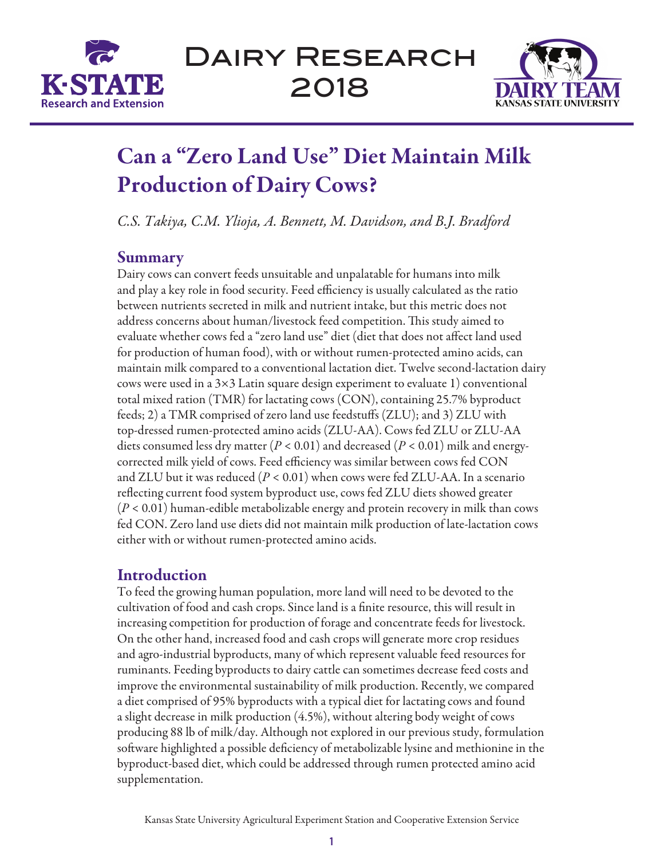



# Can a "Zero Land Use" Diet Maintain Milk Production of Dairy Cows?

*C.S. Takiya, C.M. Ylioja, A. Bennett, M. Davidson, and B.J. Bradford*

## Summary

Dairy cows can convert feeds unsuitable and unpalatable for humans into milk and play a key role in food security. Feed efficiency is usually calculated as the ratio between nutrients secreted in milk and nutrient intake, but this metric does not address concerns about human/livestock feed competition. This study aimed to evaluate whether cows fed a "zero land use" diet (diet that does not affect land used for production of human food), with or without rumen-protected amino acids, can maintain milk compared to a conventional lactation diet. Twelve second-lactation dairy cows were used in a  $3\times3$  Latin square design experiment to evaluate 1) conventional total mixed ration (TMR) for lactating cows (CON), containing 25.7% byproduct feeds; 2) a TMR comprised of zero land use feedstuffs (ZLU); and 3) ZLU with top-dressed rumen-protected amino acids (ZLU-AA). Cows fed ZLU or ZLU-AA diets consumed less dry matter (*P* < 0.01) and decreased (*P* < 0.01) milk and energycorrected milk yield of cows. Feed efficiency was similar between cows fed CON and ZLU but it was reduced (*P* < 0.01) when cows were fed ZLU-AA. In a scenario reflecting current food system byproduct use, cows fed ZLU diets showed greater (*P* < 0.01) human-edible metabolizable energy and protein recovery in milk than cows fed CON. Zero land use diets did not maintain milk production of late-lactation cows either with or without rumen-protected amino acids.

## Introduction

To feed the growing human population, more land will need to be devoted to the cultivation of food and cash crops. Since land is a finite resource, this will result in increasing competition for production of forage and concentrate feeds for livestock. On the other hand, increased food and cash crops will generate more crop residues and agro-industrial byproducts, many of which represent valuable feed resources for ruminants. Feeding byproducts to dairy cattle can sometimes decrease feed costs and improve the environmental sustainability of milk production. Recently, we compared a diet comprised of 95% byproducts with a typical diet for lactating cows and found a slight decrease in milk production (4.5%), without altering body weight of cows producing 88 lb of milk/day. Although not explored in our previous study, formulation software highlighted a possible deficiency of metabolizable lysine and methionine in the byproduct-based diet, which could be addressed through rumen protected amino acid supplementation.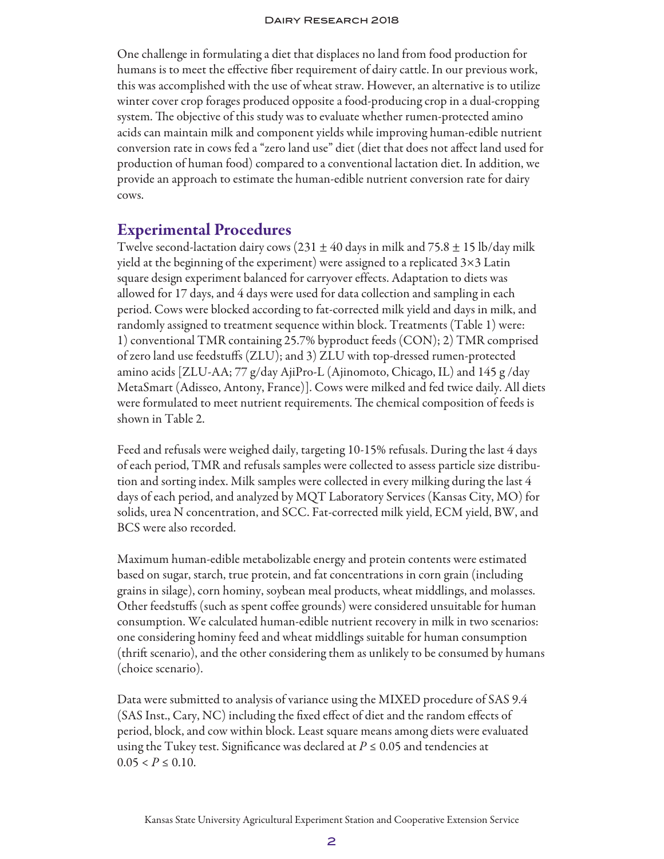One challenge in formulating a diet that displaces no land from food production for humans is to meet the effective fiber requirement of dairy cattle. In our previous work, this was accomplished with the use of wheat straw. However, an alternative is to utilize winter cover crop forages produced opposite a food-producing crop in a dual-cropping system. The objective of this study was to evaluate whether rumen-protected amino acids can maintain milk and component yields while improving human-edible nutrient conversion rate in cows fed a "zero land use" diet (diet that does not affect land used for production of human food) compared to a conventional lactation diet. In addition, we provide an approach to estimate the human-edible nutrient conversion rate for dairy cows.

## Experimental Procedures

Twelve second-lactation dairy cows (231  $\pm$  40 days in milk and 75.8  $\pm$  15 lb/day milk yield at the beginning of the experiment) were assigned to a replicated 3×3 Latin square design experiment balanced for carryover effects. Adaptation to diets was allowed for 17 days, and 4 days were used for data collection and sampling in each period. Cows were blocked according to fat-corrected milk yield and days in milk, and randomly assigned to treatment sequence within block. Treatments (Table 1) were: 1) conventional TMR containing 25.7% byproduct feeds (CON); 2) TMR comprised of zero land use feedstuffs (ZLU); and 3) ZLU with top-dressed rumen-protected amino acids [ZLU-AA; 77 g/day AjiPro-L (Ajinomoto, Chicago, IL) and 145 g /day MetaSmart (Adisseo, Antony, France)]. Cows were milked and fed twice daily. All diets were formulated to meet nutrient requirements. The chemical composition of feeds is shown in Table 2.

Feed and refusals were weighed daily, targeting 10-15% refusals. During the last 4 days of each period, TMR and refusals samples were collected to assess particle size distribution and sorting index. Milk samples were collected in every milking during the last 4 days of each period, and analyzed by MQT Laboratory Services (Kansas City, MO) for solids, urea N concentration, and SCC. Fat-corrected milk yield, ECM yield, BW, and BCS were also recorded.

Maximum human-edible metabolizable energy and protein contents were estimated based on sugar, starch, true protein, and fat concentrations in corn grain (including grains in silage), corn hominy, soybean meal products, wheat middlings, and molasses. Other feedstuffs (such as spent coffee grounds) were considered unsuitable for human consumption. We calculated human-edible nutrient recovery in milk in two scenarios: one considering hominy feed and wheat middlings suitable for human consumption (thrift scenario), and the other considering them as unlikely to be consumed by humans (choice scenario).

Data were submitted to analysis of variance using the MIXED procedure of SAS 9.4 (SAS Inst., Cary, NC) including the fixed effect of diet and the random effects of period, block, and cow within block. Least square means among diets were evaluated using the Tukey test. Significance was declared at  $P \leq 0.05$  and tendencies at  $0.05 < P \leq 0.10$ .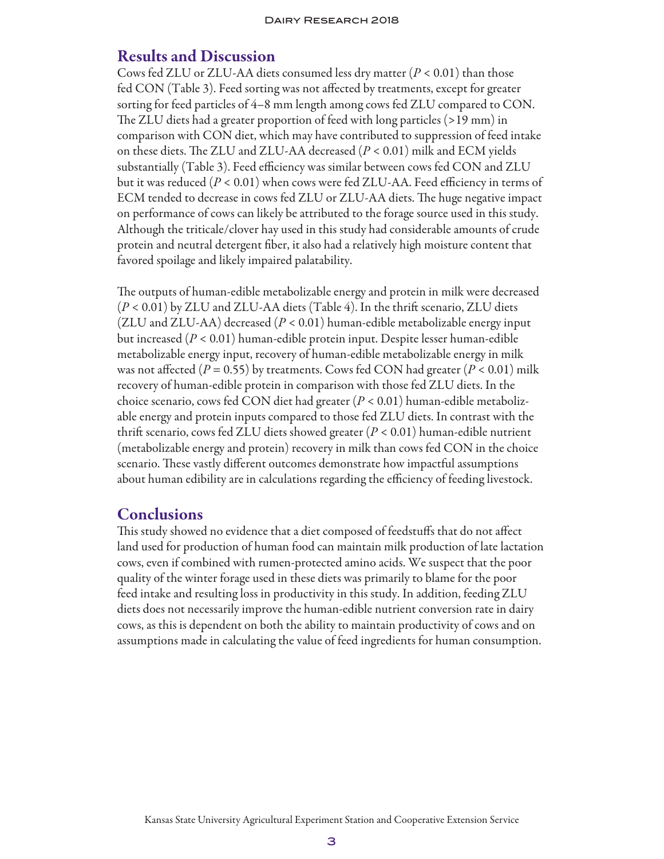### Results and Discussion

Cows fed ZLU or ZLU-AA diets consumed less dry matter (*P* < 0.01) than those fed CON (Table 3). Feed sorting was not affected by treatments, except for greater sorting for feed particles of 4–8 mm length among cows fed ZLU compared to CON. The ZLU diets had a greater proportion of feed with long particles (>19 mm) in comparison with CON diet, which may have contributed to suppression of feed intake on these diets. The ZLU and ZLU-AA decreased (*P* < 0.01) milk and ECM yields substantially (Table 3). Feed efficiency was similar between cows fed CON and ZLU but it was reduced (*P* < 0.01) when cows were fed ZLU-AA. Feed efficiency in terms of ECM tended to decrease in cows fed ZLU or ZLU-AA diets. The huge negative impact on performance of cows can likely be attributed to the forage source used in this study. Although the triticale/clover hay used in this study had considerable amounts of crude protein and neutral detergent fiber, it also had a relatively high moisture content that favored spoilage and likely impaired palatability.

The outputs of human-edible metabolizable energy and protein in milk were decreased (*P* < 0.01) by ZLU and ZLU-AA diets (Table 4). In the thrift scenario, ZLU diets (ZLU and ZLU-AA) decreased (*P* < 0.01) human-edible metabolizable energy input but increased (*P* < 0.01) human-edible protein input. Despite lesser human-edible metabolizable energy input, recovery of human-edible metabolizable energy in milk was not affected ( $P = 0.55$ ) by treatments. Cows fed CON had greater ( $P < 0.01$ ) milk recovery of human-edible protein in comparison with those fed ZLU diets. In the choice scenario, cows fed CON diet had greater (*P* < 0.01) human-edible metabolizable energy and protein inputs compared to those fed ZLU diets. In contrast with the thrift scenario, cows fed ZLU diets showed greater (*P* < 0.01) human-edible nutrient (metabolizable energy and protein) recovery in milk than cows fed CON in the choice scenario. These vastly different outcomes demonstrate how impactful assumptions about human edibility are in calculations regarding the efficiency of feeding livestock.

### **Conclusions**

This study showed no evidence that a diet composed of feedstuffs that do not affect land used for production of human food can maintain milk production of late lactation cows, even if combined with rumen-protected amino acids. We suspect that the poor quality of the winter forage used in these diets was primarily to blame for the poor feed intake and resulting loss in productivity in this study. In addition, feeding ZLU diets does not necessarily improve the human-edible nutrient conversion rate in dairy cows, as this is dependent on both the ability to maintain productivity of cows and on assumptions made in calculating the value of feed ingredients for human consumption.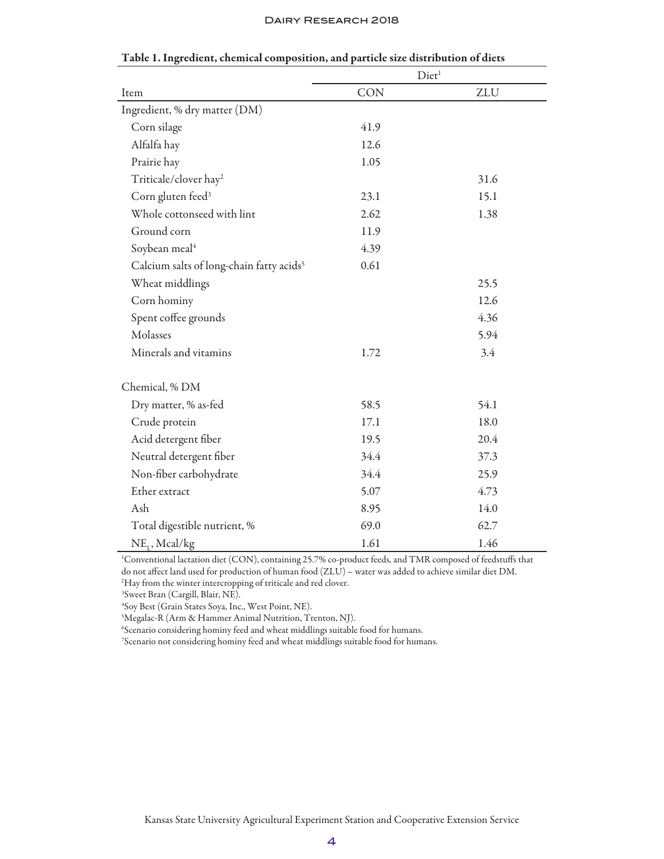#### Dairy Research 2018

|                                                      | Diet <sup>1</sup> |      |  |
|------------------------------------------------------|-------------------|------|--|
| Item                                                 | <b>CON</b>        | ZLU  |  |
| Ingredient, % dry matter (DM)                        |                   |      |  |
| Corn silage                                          | 41.9              |      |  |
| Alfalfa hay                                          | 12.6              |      |  |
| Prairie hay                                          | 1.05              |      |  |
| Triticale/clover hay <sup>2</sup>                    |                   | 31.6 |  |
| Corn gluten feed <sup>3</sup>                        | 23.1              | 15.1 |  |
| Whole cottonseed with lint                           | 2.62              | 1.38 |  |
| Ground corn                                          | 11.9              |      |  |
| Soybean meal <sup>4</sup>                            | 4.39              |      |  |
| Calcium salts of long-chain fatty acids <sup>5</sup> | 0.61              |      |  |
| Wheat middlings                                      |                   | 25.5 |  |
| Corn hominy                                          |                   | 12.6 |  |
| Spent coffee grounds                                 |                   | 4.36 |  |
| Molasses                                             |                   | 5.94 |  |
| Minerals and vitamins                                | 1.72              | 3.4  |  |
| Chemical, % DM                                       |                   |      |  |
| Dry matter, % as-fed                                 | 58.5              | 54.1 |  |
| Crude protein                                        | 17.1              | 18.0 |  |
| Acid detergent fiber                                 | 19.5              | 20.4 |  |
| Neutral detergent fiber                              | 34.4              | 37.3 |  |
| Non-fiber carbohydrate                               | 34.4              | 25.9 |  |
| Ether extract                                        | 5.07              | 4.73 |  |
| Ash                                                  | 8.95              | 14.0 |  |
| Total digestible nutrient, %                         | 69.0              | 62.7 |  |
| $NE_{I}$ , Mcal/kg                                   | 1.61              | 1.46 |  |

### Table 1. Ingredient, chemical composition, and particle size distribution of diets

1 Conventional lactation diet (CON), containing 25.7% co-product feeds, and TMR composed of feedstuffs that do not affect land used for production of human food (ZLU) – water was added to achieve similar diet DM. 2 Hay from the winter intercropping of triticale and red clover.

3 Sweet Bran (Cargill, Blair, NE).

4 Soy Best (Grain States Soya, Inc., West Point, NE).

5 Megalac-R (Arm & Hammer Animal Nutrition, Trenton, NJ).

6 Scenario considering hominy feed and wheat middlings suitable food for humans.

7 Scenario not considering hominy feed and wheat middlings suitable food for humans.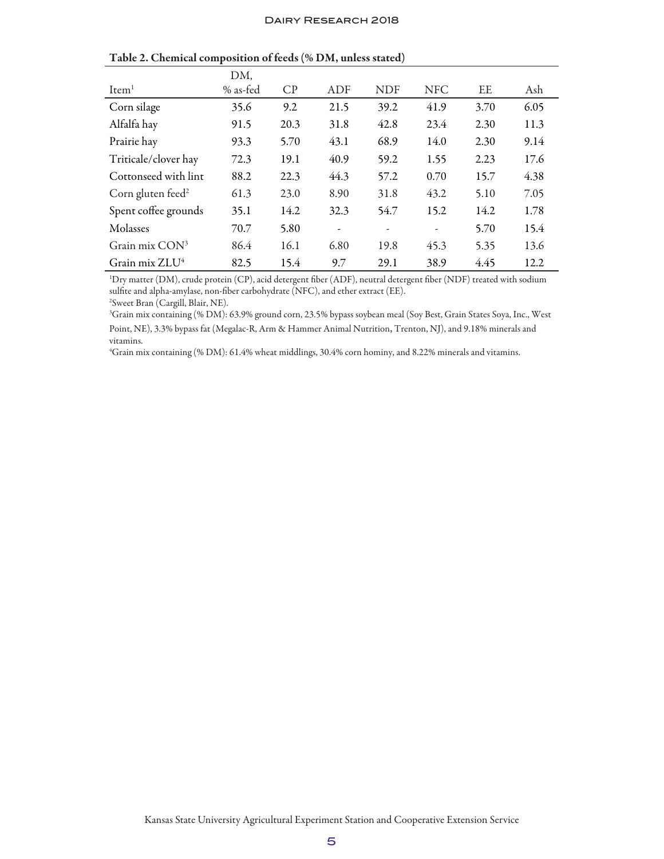|                               | DM,      |      |                          |                          |                          |      |      |
|-------------------------------|----------|------|--------------------------|--------------------------|--------------------------|------|------|
| Item <sup>1</sup>             | % as-fed | CP   | ADF                      | <b>NDF</b>               | <b>NFC</b>               | EE   | Ash  |
| Corn silage                   | 35.6     | 9.2  | 21.5                     | 39.2                     | 41.9                     | 3.70 | 6.05 |
| Alfalfa hay                   | 91.5     | 20.3 | 31.8                     | 42.8                     | 23.4                     | 2.30 | 11.3 |
| Prairie hay                   | 93.3     | 5.70 | 43.1                     | 68.9                     | 14.0                     | 2.30 | 9.14 |
| Triticale/clover hay          | 72.3     | 19.1 | 40.9                     | 59.2                     | 1.55                     | 2.23 | 17.6 |
| Cottonseed with lint          | 88.2     | 22.3 | 44.3                     | 57.2                     | 0.70                     | 15.7 | 4.38 |
| Corn gluten feed <sup>2</sup> | 61.3     | 23.0 | 8.90                     | 31.8                     | 43.2                     | 5.10 | 7.05 |
| Spent coffee grounds          | 35.1     | 14.2 | 32.3                     | 54.7                     | 15.2                     | 14.2 | 1.78 |
| Molasses                      | 70.7     | 5.80 | $\overline{\phantom{a}}$ | $\overline{\phantom{a}}$ | $\overline{\phantom{a}}$ | 5.70 | 15.4 |
| Grain mix $CON3$              | 86.4     | 16.1 | 6.80                     | 19.8                     | 45.3                     | 5.35 | 13.6 |
| Grain mix $ZLU4$              | 82.5     | 15.4 | 9.7                      | 29.1                     | 38.9                     | 4.45 | 12.2 |

Table 2. Chemical composition of feeds (% DM, unless stated)

1 Dry matter (DM), crude protein (CP), acid detergent fiber (ADF), neutral detergent fiber (NDF) treated with sodium sulfite and alpha-amylase, non-fiber carbohydrate (NFC), and ether extract (EE). 2 Sweet Bran (Cargill, Blair, NE).

3 Grain mix containing (% DM): 63.9% ground corn, 23.5% bypass soybean meal (Soy Best, Grain States Soya, Inc., West Point, NE), 3.3% bypass fat (Megalac-R, Arm & Hammer Animal Nutrition, Trenton, NJ), and 9.18% minerals and vitamins.

4 Grain mix containing (% DM): 61.4% wheat middlings, 30.4% corn hominy, and 8.22% minerals and vitamins.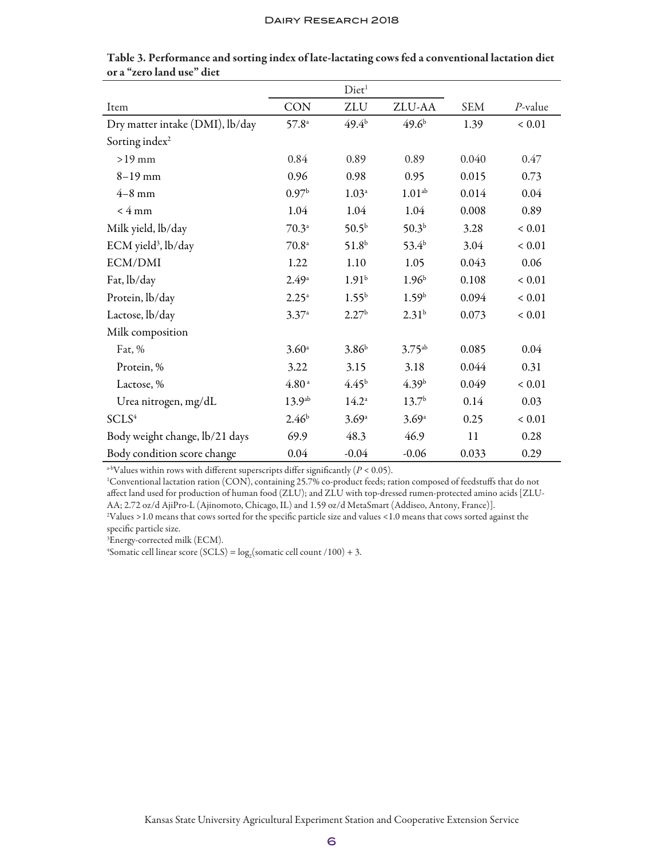|                                 |                    | Diet <sup>1</sup> |                    |            |            |
|---------------------------------|--------------------|-------------------|--------------------|------------|------------|
| Item                            | CON                | ZLU               | ZLU-AA             | <b>SEM</b> | $P$ -value |
| Dry matter intake (DMI), lb/day | $57.8^{\circ}$     | $49.4^{\rm b}$    | 49.6 <sup>b</sup>  | 1.39       | ${}< 0.01$ |
| Sorting index <sup>2</sup>      |                    |                   |                    |            |            |
| $>19$ mm                        | 0.84               | 0.89              | 0.89               | 0.040      | 0.47       |
| $8 - 19$ mm                     | 0.96               | 0.98              | 0.95               | 0.015      | 0.73       |
| $4-8$ mm                        | 0.97 <sup>b</sup>  | $1.03^{\circ}$    | 1.01 <sup>ab</sup> | 0.014      | 0.04       |
| $<$ 4 mm                        | 1.04               | 1.04              | 1.04               | 0.008      | 0.89       |
| Milk yield, lb/day              | $70.3^{\circ}$     | $50.5^{b}$        | 50.3 <sup>b</sup>  | 3.28       | ${}< 0.01$ |
| ECM yield <sup>3</sup> , lb/day | $70.8^{\circ}$     | 51.8 <sup>b</sup> | $53.4^{b}$         | 3.04       | ${}< 0.01$ |
| ECM/DMI                         | 1.22               | 1.10              | 1.05               | 0.043      | 0.06       |
| Fat, lb/day                     | $2.49^{\circ}$     | 1.91 <sup>b</sup> | 1.96 <sup>b</sup>  | 0.108      | ${}< 0.01$ |
| Protein, lb/day                 | $2.25^{\circ}$     | $1.55^{b}$        | 1.59 <sup>b</sup>  | 0.094      | ${}< 0.01$ |
| Lactose, lb/day                 | $3.37^{a}$         | 2.27 <sup>b</sup> | 2.31 <sup>b</sup>  | 0.073      | ${}< 0.01$ |
| Milk composition                |                    |                   |                    |            |            |
| Fat, %                          | 3.60 <sup>a</sup>  | $3.86^{b}$        | $3.75^{ab}$        | 0.085      | 0.04       |
| Protein, %                      | 3.22               | 3.15              | 3.18               | 0.044      | 0.31       |
| Lactose, %                      | 4.80 <sup>a</sup>  | 4.45 <sup>b</sup> | 4.39 <sup>b</sup>  | 0.049      | ${}< 0.01$ |
| Urea nitrogen, mg/dL            | 13.9 <sup>ab</sup> | $14.2^{\circ}$    | 13.7 <sup>b</sup>  | 0.14       | 0.03       |
| SCLS <sup>4</sup>               | 2.46 <sup>b</sup>  | 3.69a             | 3.69a              | 0.25       | ${}< 0.01$ |
| Body weight change, lb/21 days  | 69.9               | 48.3              | 46.9               | 11         | 0.28       |
| Body condition score change     | 0.04               | $-0.04$           | $-0.06$            | 0.033      | 0.29       |

Table 3. Performance and sorting index of late-lactating cows fed a conventional lactation diet or a "zero land use" diet

a-bValues within rows with different superscripts differ significantly  $(P < 0.05)$ .

1 Conventional lactation ration (CON), containing 25.7% co-product feeds; ration composed of feedstuffs that do not affect land used for production of human food (ZLU); and ZLU with top-dressed rumen-protected amino acids [ZLU-AA; 2.72 oz/d AjiPro-L (Ajinomoto, Chicago, IL) and 1.59 oz/d MetaSmart (Addiseo, Antony, France)].

2 Values >1.0 means that cows sorted for the specific particle size and values <1.0 means that cows sorted against the specific particle size.

3 Energy-corrected milk (ECM).

<sup>4</sup>Somatic cell linear score (SCLS) =  $log_2$ (somatic cell count /100) + 3.